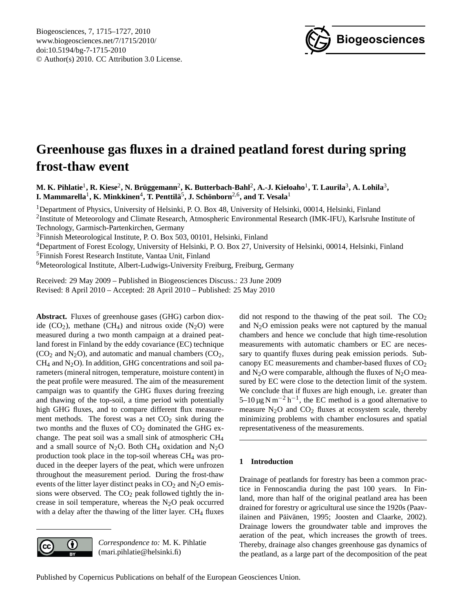

# <span id="page-0-0"></span>**Greenhouse gas fluxes in a drained peatland forest during spring frost-thaw event**

M. K. Pihlatie<sup>1</sup>, R. Kiese<sup>2</sup>, N. Brüggemann<sup>2</sup>, K. Butterbach-Bahl<sup>2</sup>, A.-J. Kieloaho<sup>1</sup>, T. Laurila<sup>3</sup>, A. Lohila<sup>3</sup>,  ${\bf I.}$  Mammarella $^1$ , **K.** Minkkinen $^4$ , T. Penttilä $^5$ , J. Schönborn $^{2,6}$ , and T. Vesala $^1$ 

<sup>1</sup>Department of Physics, University of Helsinki, P. O. Box 48, University of Helsinki, 00014, Helsinki, Finland

<sup>2</sup>Institute of Meteorology and Climate Research, Atmospheric Environmental Research (IMK-IFU), Karlsruhe Institute of Technology, Garmisch-Partenkirchen, Germany

<sup>3</sup>Finnish Meteorological Institute, P. O. Box 503, 00101, Helsinki, Finland

<sup>4</sup>Department of Forest Ecology, University of Helsinki, P. O. Box 27, University of Helsinki, 00014, Helsinki, Finland <sup>5</sup>Finnish Forest Research Institute, Vantaa Unit, Finland

<sup>6</sup>Meteorological Institute, Albert-Ludwigs-University Freiburg, Freiburg, Germany

Received: 29 May 2009 – Published in Biogeosciences Discuss.: 23 June 2009 Revised: 8 April 2010 – Accepted: 28 April 2010 – Published: 25 May 2010

**Abstract.** Fluxes of greenhouse gases (GHG) carbon dioxide  $(CO_2)$ , methane  $(CH_4)$  and nitrous oxide  $(N_2O)$  were measured during a two month campaign at a drained peatland forest in Finland by the eddy covariance (EC) technique  $(CO<sub>2</sub>$  and N<sub>2</sub>O), and automatic and manual chambers  $(CO<sub>2</sub>)$ ,  $CH<sub>4</sub>$  and N<sub>2</sub>O). In addition, GHG concentrations and soil parameters (mineral nitrogen, temperature, moisture content) in the peat profile were measured. The aim of the measurement campaign was to quantify the GHG fluxes during freezing and thawing of the top-soil, a time period with potentially high GHG fluxes, and to compare different flux measurement methods. The forest was a net  $CO<sub>2</sub>$  sink during the two months and the fluxes of  $CO<sub>2</sub>$  dominated the GHG exchange. The peat soil was a small sink of atmospheric CH<sup>4</sup> and a small source of N<sub>2</sub>O. Both CH<sub>4</sub> oxidation and N<sub>2</sub>O production took place in the top-soil whereas CH<sup>4</sup> was produced in the deeper layers of the peat, which were unfrozen throughout the measurement period. During the frost-thaw events of the litter layer distinct peaks in  $CO<sub>2</sub>$  and  $N<sub>2</sub>O$  emissions were observed. The  $CO<sub>2</sub>$  peak followed tightly the increase in soil temperature, whereas the  $N_2O$  peak occurred with a delay after the thawing of the litter layer.  $CH<sub>4</sub>$  fluxes



*Correspondence to:* M. K. Pihlatie (mari.pihlatie@helsinki.fi)

did not respond to the thawing of the peat soil. The  $CO<sub>2</sub>$ and  $N<sub>2</sub>O$  emission peaks were not captured by the manual chambers and hence we conclude that high time-resolution measurements with automatic chambers or EC are necessary to quantify fluxes during peak emission periods. Subcanopy EC measurements and chamber-based fluxes of CO<sub>2</sub> and  $N<sub>2</sub>O$  were comparable, although the fluxes of  $N<sub>2</sub>O$  measured by EC were close to the detection limit of the system. We conclude that if fluxes are high enough, i.e. greater than 5–10 μg N m<sup>-2</sup> h<sup>-1</sup>, the EC method is a good alternative to measure  $N_2O$  and  $CO_2$  fluxes at ecosystem scale, thereby minimizing problems with chamber enclosures and spatial representativeness of the measurements.

## **1 Introduction**

Drainage of peatlands for forestry has been a common practice in Fennoscandia during the past 100 years. In Finland, more than half of the original peatland area has been drained for forestry or agricultural use since the 1920s (Paavilainen and Päivänen, 1995; Joosten and Claarke, 2002). Drainage lowers the groundwater table and improves the aeration of the peat, which increases the growth of trees. Thereby, drainage also changes greenhouse gas dynamics of the peatland, as a large part of the decomposition of the peat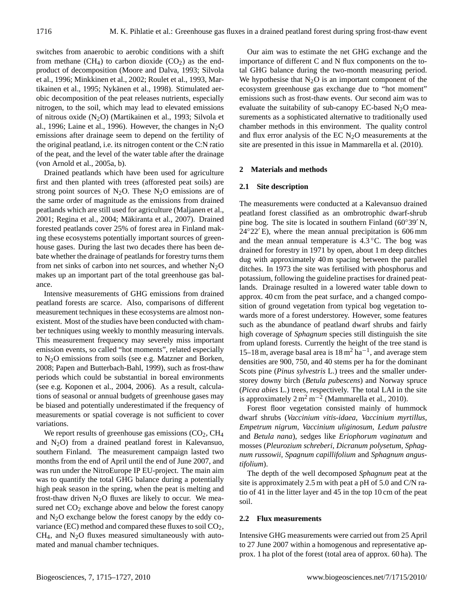switches from anaerobic to aerobic conditions with a shift from methane  $(CH_4)$  to carbon dioxide  $(CO_2)$  as the endproduct of decomposition (Moore and Dalva, 1993; Silvola et al., 1996; Minkkinen et al., 2002; Roulet et al., 1993, Martikainen et al., 1995; Nykänen et al., 1998). Stimulated aerobic decomposition of the peat releases nutrients, especially nitrogen, to the soil, which may lead to elevated emissions of nitrous oxide (N2O) (Martikainen et al., 1993; Silvola et al., 1996; Laine et al., 1996). However, the changes in  $N_2O$ emissions after drainage seem to depend on the fertility of the original peatland, i.e. its nitrogen content or the C:N ratio of the peat, and the level of the water table after the drainage (von Arnold et al., 2005a, b).

Drained peatlands which have been used for agriculture first and then planted with trees (afforested peat soils) are strong point sources of  $N_2O$ . These  $N_2O$  emissions are of the same order of magnitude as the emissions from drained peatlands which are still used for agriculture (Maljanen et al., 2001; Regina et al., 2004; Mäkiranta et al., 2007). Drained forested peatlands cover 25% of forest area in Finland making these ecosystems potentially important sources of greenhouse gases. During the last two decades there has been debate whether the drainage of peatlands for forestry turns them from net sinks of carbon into net sources, and whether  $N_2O$ makes up an important part of the total greenhouse gas balance.

Intensive measurements of GHG emissions from drained peatland forests are scarce. Also, comparisons of different measurement techniques in these ecosystems are almost nonexistent. Most of the studies have been conducted with chamber techniques using weekly to monthly measuring intervals. This measurement frequency may severely miss important emission events, so called "hot moments", related especially to N2O emissions from soils (see e.g. Matzner and Borken, 2008; Papen and Butterbach-Bahl, 1999), such as frost-thaw periods which could be substantial in boreal environments (see e.g. Koponen et al., 2004, 2006). As a result, calculations of seasonal or annual budgets of greenhouse gases may be biased and potentially underestimated if the frequency of measurements or spatial coverage is not sufficient to cover variations.

We report results of greenhouse gas emissions  $(CO<sub>2</sub>, CH<sub>4</sub>)$ and N2O) from a drained peatland forest in Kalevansuo, southern Finland. The measurement campaign lasted two months from the end of April until the end of June 2007, and was run under the NitroEurope IP EU-project. The main aim was to quantify the total GHG balance during a potentially high peak season in the spring, when the peat is melting and frost-thaw driven  $N_2O$  fluxes are likely to occur. We measured net  $CO<sub>2</sub>$  exchange above and below the forest canopy and  $N<sub>2</sub>O$  exchange below the forest canopy by the eddy covariance (EC) method and compared these fluxes to soil CO<sub>2</sub>,  $CH<sub>4</sub>$ , and N<sub>2</sub>O fluxes measured simultaneously with automated and manual chamber techniques.

Our aim was to estimate the net GHG exchange and the importance of different C and N flux components on the total GHG balance during the two-month measuring period. We hypothesise that  $N_2O$  is an important component of the ecosystem greenhouse gas exchange due to "hot moment" emissions such as frost-thaw events. Our second aim was to evaluate the suitability of sub-canopy EC-based  $N_2O$  measurements as a sophisticated alternative to traditionally used chamber methods in this environment. The quality control and flux error analysis of the EC  $N<sub>2</sub>O$  measurements at the site are presented in this issue in Mammarella et al. (2010).

## **2 Materials and methods**

## **2.1 Site description**

The measurements were conducted at a Kalevansuo drained peatland forest classified as an ombrotrophic dwarf-shrub pine bog. The site is located in southern Finland ( $60°39'$  N,  $24°22'E$ , where the mean annual precipitation is 606 mm and the mean annual temperature is  $4.3 \degree C$ . The bog was drained for forestry in 1971 by open, about 1 m deep ditches dug with approximately 40 m spacing between the parallel ditches. In 1973 the site was fertilised with phosphorus and potassium, following the guideline practises for drained peatlands. Drainage resulted in a lowered water table down to approx. 40 cm from the peat surface, and a changed composition of ground vegetation from typical bog vegetation towards more of a forest understorey. However, some features such as the abundance of peatland dwarf shrubs and fairly high coverage of *Sphagnum* species still distinguish the site from upland forests. Currently the height of the tree stand is 15–18 m, average basal area is  $18 \text{ m}^2 \text{ ha}^{-1}$ , and average stem densities are 900, 750, and 40 stems per ha for the dominant Scots pine (*Pinus sylvestris* L.) trees and the smaller understorey downy birch (*Betula pubescens*) and Norway spruce (*Picea abies* L.) trees, respectively. The total LAI in the site is approximately  $2 m<sup>2</sup> m<sup>-2</sup>$  (Mammarella et al., 2010).

Forest floor vegetation consisted mainly of hummock dwarf shrubs (*Vaccinium vitis-idaea, Vaccinium myrtillus, Empetrum nigrum, Vaccinium uliginosum, Ledum palustre* and *Betula nana*), sedges like *Eriophorum vaginatum* and mosses (*Pleurozium schreberi*, *Dicranum polysetum, Sphagnum russowii, Spagnum capillifolium* and *Sphagnum angustifolium*).

The depth of the well decomposed *Sphagnum* peat at the site is approximately 2.5 m with peat a pH of 5.0 and C/N ratio of 41 in the litter layer and 45 in the top 10 cm of the peat soil.

#### **2.2 Flux measurements**

Intensive GHG measurements were carried out from 25 April to 27 June 2007 within a homogenous and representative approx. 1 ha plot of the forest (total area of approx. 60 ha). The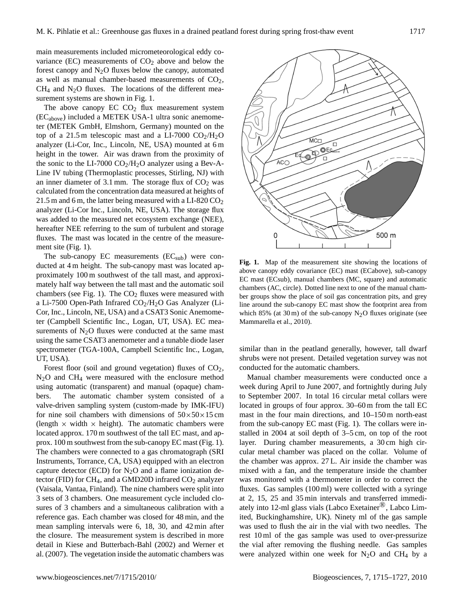main measurements included micrometeorological eddy covariance (EC) measurements of  $CO<sub>2</sub>$  above and below the forest canopy and  $N_2O$  fluxes below the canopy, automated as well as manual chamber-based measurements of  $CO<sub>2</sub>$ ,  $CH<sub>4</sub>$  and N<sub>2</sub>O fluxes. The locations of the different measurement systems are shown in Fig. 1.

The above canopy  $EC CO<sub>2</sub>$  flux measurement system (ECabove) included a METEK USA-1 ultra sonic anemometer (METEK GmbH, Elmshorn, Germany) mounted on the top of a 21.5 m telescopic mast and a LI-7000  $CO<sub>2</sub>/H<sub>2</sub>O$ analyzer (Li-Cor, Inc., Lincoln, NE, USA) mounted at 6 m height in the tower. Air was drawn from the proximity of the sonic to the LI-7000  $CO<sub>2</sub>/H<sub>2</sub>O$  analyzer using a Bev-A-Line IV tubing (Thermoplastic processes, Stirling, NJ) with an inner diameter of 3.1 mm. The storage flux of  $CO<sub>2</sub>$  was calculated from the concentration data measured at heights of 21.5 m and 6 m, the latter being measured with a LI-820  $CO<sub>2</sub>$ analyzer (Li-Cor Inc., Lincoln, NE, USA). The storage flux was added to the measured net ecosystem exchange (NEE), hereafter NEE referring to the sum of turbulent and storage fluxes. The mast was located in the centre of the measurement site (Fig. 1).

The sub-canopy EC measurements  $(EC_{sub})$  were conducted at 4 m height. The sub-canopy mast was located approximately 100 m southwest of the tall mast, and approximately half way between the tall mast and the automatic soil chambers (see Fig. 1). The  $CO<sub>2</sub>$  fluxes were measured with a Li-7500 Open-Path Infrared  $CO<sub>2</sub>/H<sub>2</sub>O$  Gas Analyzer (Li-Cor, Inc., Lincoln, NE, USA) and a CSAT3 Sonic Anemometer (Campbell Scientific Inc., Logan, UT, USA). EC measurements of  $N_2O$  fluxes were conducted at the same mast using the same CSAT3 anemometer and a tunable diode laser spectrometer (TGA-100A, Campbell Scientific Inc., Logan, UT, USA).

Forest floor (soil and ground vegetation) fluxes of  $CO<sub>2</sub>$ , N2O and CH<sup>4</sup> were measured with the enclosure method using automatic (transparent) and manual (opaque) chambers. The automatic chamber system consisted of a valve-driven sampling system (custom-made by IMK-IFU) for nine soil chambers with dimensions of  $50 \times 50 \times 15$  cm (length  $\times$  width  $\times$  height). The automatic chambers were located approx. 170 m southwest of the tall EC mast, and approx. 100 m southwest from the sub-canopy EC mast (Fig. 1). The chambers were connected to a gas chromatograph (SRI Instruments, Torrance, CA, USA) equipped with an electron capture detector (ECD) for  $N_2O$  and a flame ionization detector (FID) for  $CH_4$ , and a GMD20D infrared  $CO_2$  analyzer (Vaisala, Vantaa, Finland). The nine chambers were split into 3 sets of 3 chambers. One measurement cycle included closures of 3 chambers and a simultaneous calibration with a reference gas. Each chamber was closed for 48 min, and the mean sampling intervals were 6, 18, 30, and 42 min after the closure. The measurement system is described in more detail in Kiese and Butterbach-Bahl (2002) and Werner et al. (2007). The vegetation inside the automatic chambers was



**Fig. 1.** Map of the measurement site showing the locations of above canopy eddy covariance (EC) mast (ECabove), sub-canopy EC mast (ECsub), manual chambers (MC, square) and automatic chambers (AC, circle). Dotted line next to one of the manual chamber groups show the place of soil gas concentration pits, and grey line around the sub-canopy EC mast show the footprint area from which 85% (at 30 m) of the sub-canopy  $N_2O$  fluxes originate (see Mammarella et al., 2010).

similar than in the peatland generally, however, tall dwarf shrubs were not present. Detailed vegetation survey was not conducted for the automatic chambers.

Manual chamber measurements were conducted once a week during April to June 2007, and fortnightly during July to September 2007. In total 16 circular metal collars were located in groups of four approx. 30–60 m from the tall EC mast in the four main directions, and 10–150 m north-east from the sub-canopy EC mast (Fig. 1). The collars were installed in 2004 at soil depth of 3–5 cm, on top of the root layer. During chamber measurements, a 30 cm high circular metal chamber was placed on the collar. Volume of the chamber was approx. 27 L. Air inside the chamber was mixed with a fan, and the temperature inside the chamber was monitored with a thermometer in order to correct the fluxes. Gas samples (100 ml) were collected with a syringe at 2, 15, 25 and 35 min intervals and transferred immediately into 12-ml glass vials (Labco Exetainer<sup>®</sup>, Labco Limited, Buckinghamshire, UK). Ninety ml of the gas sample was used to flush the air in the vial with two needles. The rest 10 ml of the gas sample was used to over-pressurize the vial after removing the flushing needle. Gas samples were analyzed within one week for  $N_2O$  and CH<sub>4</sub> by a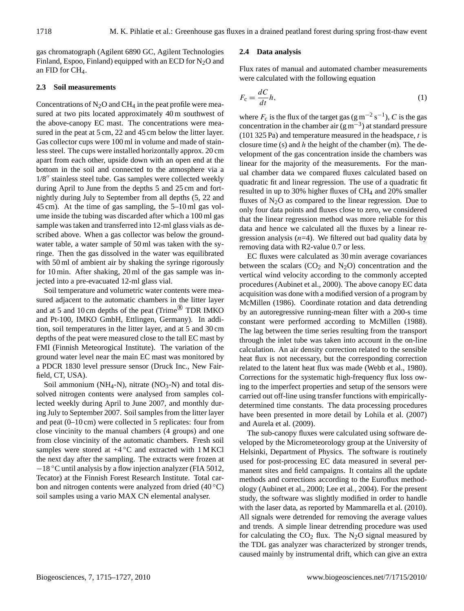gas chromatograph (Agilent 6890 GC, Agilent Technologies Finland, Espoo, Finland) equipped with an ECD for  $N_2O$  and an FID for  $CH<sub>4</sub>$ .

# **2.3 Soil measurements**

Concentrations of  $N_2O$  and CH<sub>4</sub> in the peat profile were measured at two pits located approximately 40 m southwest of the above-canopy EC mast. The concentrations were measured in the peat at 5 cm, 22 and 45 cm below the litter layer. Gas collector cups were 100 ml in volume and made of stainless steel. The cups were installed horizontally approx. 20 cm apart from each other, upside down with an open end at the bottom in the soil and connected to the atmosphere via a  $1/8''$  stainless steel tube. Gas samples were collected weekly during April to June from the depths 5 and 25 cm and fortnightly during July to September from all depths (5, 22 and 45 cm). At the time of gas sampling, the 5–10 ml gas volume inside the tubing was discarded after which a 100 ml gas sample was taken and transferred into 12-ml glass vials as described above. When a gas collector was below the groundwater table, a water sample of 50 ml was taken with the syringe. Then the gas dissolved in the water was equilibrated with 50 ml of ambient air by shaking the syringe rigorously for 10 min. After shaking, 20 ml of the gas sample was injected into a pre-evacuated 12-ml glass vial.

Soil temperature and volumetric water contents were measured adjacent to the automatic chambers in the litter layer and at 5 and 10 cm depths of the peat (Trime® TDR IMKO and Pt-100, IMKO GmbH, Ettlingen, Germany). In addition, soil temperatures in the litter layer, and at 5 and 30 cm depths of the peat were measured close to the tall EC mast by FMI (Finnish Meteorogical Institute). The variation of the ground water level near the main EC mast was monitored by a PDCR 1830 level pressure sensor (Druck Inc., New Fairfield, CT, USA).

Soil ammonium (NH<sub>4</sub>-N), nitrate (NO<sub>3</sub>-N) and total dissolved nitrogen contents were analysed from samples collected weekly during April to June 2007, and monthly during July to September 2007. Soil samples from the litter layer and peat (0–10 cm) were collected in 5 replicates: four from close vincinity to the manual chambers (4 groups) and one from close vincinity of the automatic chambers. Fresh soil samples were stored at  $+4\degree C$  and extracted with 1 M KCl the next day after the sampling. The extracts were frozen at −18 ◦C until analysis by a flow injection analyzer (FIA 5012, Tecator) at the Finnish Forest Research Institute. Total carbon and nitrogen contents were analyzed from dried (40 ◦C) soil samples using a vario MAX CN elemental analyser.

# **2.4 Data analysis**

Flux rates of manual and automated chamber measurements were calculated with the following equation

$$
F_{\rm c} = \frac{dC}{dt}h,\tag{1}
$$

where  $F_c$  is the flux of the target gas (g m<sup>-2</sup> s<sup>-1</sup>), C is the gas concentration in the chamber air  $(g m^{-3})$  at standard pressure (101 325 Pa) and temperature measured in the headspace,  $t$  is closure time (s) and  $h$  the height of the chamber (m). The development of the gas concentration inside the chambers was linear for the majority of the measurements. For the manual chamber data we compared fluxes calculated based on quadratic fit and linear regression. The use of a quadratic fit resulted in up to 30% higher fluxes of CH<sup>4</sup> and 20% smaller fluxes of  $N_2O$  as compared to the linear regression. Due to only four data points and fluxes close to zero, we considered that the linear regression method was more reliable for this data and hence we calculated all the fluxes by a linear regression analysis  $(n=4)$ . We filtered out bad quality data by removing data with R2-value 0.7 or less.

EC fluxes were calculated as 30 min average covariances between the scalars  $(CO_2$  and  $N_2O$ ) concentration and the vertical wind velocity according to the commonly accepted procedures (Aubinet et al., 2000). The above canopy EC data acquisition was done with a modified version of a program by McMillen (1986). Coordinate rotation and data detrending by an autoregressive running-mean filter with a 200-s time constant were performed according to McMillen (1988). The lag between the time series resulting from the transport through the inlet tube was taken into account in the on-line calculation. An air density correction related to the sensible heat flux is not necessary, but the corresponding correction related to the latent heat flux was made (Webb et al., 1980). Corrections for the systematic high-frequency flux loss owing to the imperfect properties and setup of the sensors were carried out off-line using transfer functions with empiricallydetermined time constants. The data processing procedures have been presented in more detail by Lohila et al. (2007) and Aurela et al. (2009).

The sub-canopy fluxes were calculated using software developed by the Micrometeorology group at the University of Helsinki, Department of Physics. The software is routinely used for post-processing EC data measured in several permanent sites and field campaigns. It contains all the update methods and corrections according to the Euroflux methodology (Aubinet et al., 2000; Lee et al., 2004). For the present study, the software was slightly modified in order to handle with the laser data, as reported by Mammarella et al. (2010). All signals were detrended for removing the average values and trends. A simple linear detrending procedure was used for calculating the  $CO<sub>2</sub>$  flux. The N<sub>2</sub>O signal measured by the TDL gas analyzer was characterized by stronger trends, caused mainly by instrumental drift, which can give an extra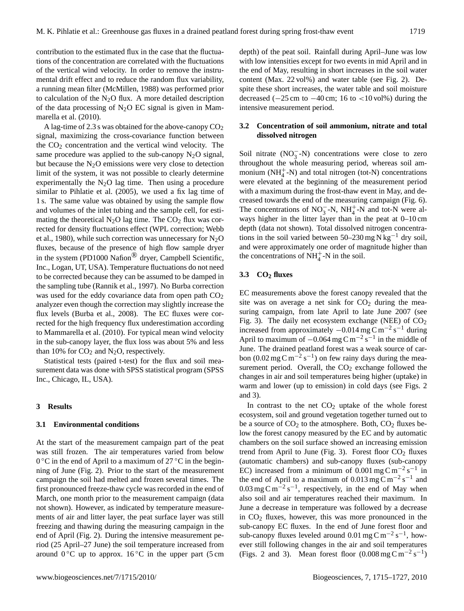contribution to the estimated flux in the case that the fluctuations of the concentration are correlated with the fluctuations of the vertical wind velocity. In order to remove the instrumental drift effect and to reduce the random flux variability, a running mean filter (McMillen, 1988) was performed prior to calculation of the  $N_2O$  flux. A more detailed description of the data processing of  $N_2O$  EC signal is given in Mammarella et al. (2010).

A lag-time of 2.3 s was obtained for the above-canopy  $CO<sub>2</sub>$ signal, maximizing the cross-covariance function between the  $CO<sub>2</sub>$  concentration and the vertical wind velocity. The same procedure was applied to the sub-canopy  $N_2O$  signal, but because the  $N_2O$  emissions were very close to detection limit of the system, it was not possible to clearly determine experimentally the  $N_2O$  lag time. Then using a procedure similar to Pihlatie et al. (2005), we used a fix lag time of 1 s. The same value was obtained by using the sample flow and volumes of the inlet tubing and the sample cell, for estimating the theoretical  $N_2O$  lag time. The  $CO_2$  flux was corrected for density fluctuations effect (WPL correction; Webb et al., 1980), while such correction was unnecessary for  $N_2O$ fluxes, because of the presence of high flow sample dryer in the system (PD1000 Nafion<sup>®</sup> dryer, Campbell Scientific, Inc., Logan, UT, USA). Temperature fluctuations do not need to be corrected because they can be assumed to be damped in the sampling tube (Rannik et al., 1997). No Burba correction was used for the eddy covariance data from open path  $CO<sub>2</sub>$ analyzer even though the correction may slightly increase the flux levels (Burba et al., 2008). The EC fluxes were corrected for the high frequency flux underestimation according to Mammarella et al. (2010). For typical mean wind velocity in the sub-canopy layer, the flux loss was about 5% and less than 10% for  $CO<sub>2</sub>$  and N<sub>2</sub>O, respectively.

Statistical tests (paired t-test) for the flux and soil measurement data was done with SPSS statistical program (SPSS Inc., Chicago, IL, USA).

#### **3 Results**

# **3.1 Environmental conditions**

At the start of the measurement campaign part of the peat was still frozen. The air temperatures varied from below 0 °C in the end of April to a maximum of 27 °C in the beginning of June (Fig. 2). Prior to the start of the measurement campaign the soil had melted and frozen several times. The first pronounced freeze-thaw cycle was recorded in the end of March, one month prior to the measurement campaign (data not shown). However, as indicated by temperature measurements of air and litter layer, the peat surface layer was still freezing and thawing during the measuring campaign in the end of April (Fig. 2). During the intensive measurement period (25 April–27 June) the soil temperature increased from around  $0^{\circ}$ C up to approx.  $16^{\circ}$ C in the upper part (5 cm depth) of the peat soil. Rainfall during April–June was low with low intensities except for two events in mid April and in the end of May, resulting in short increases in the soil water content (Max. 22 vol%) and water table (see Fig. 2). Despite these short increases, the water table and soil moisture decreased  $(-25 \text{ cm to } -40 \text{ cm}; 16 \text{ to } <10 \text{ vol\%})$  during the intensive measurement period.

## **3.2 Concentration of soil ammonium, nitrate and total dissolved nitrogen**

Soil nitrate  $(NO<sub>3</sub><sup>-</sup>-N)$  concentrations were close to zero throughout the whole measuring period, whereas soil ammonium  $(NH_4^+N)$  and total nitrogen (tot-N) concentrations were elevated at the beginning of the measurement period with a maximum during the frost-thaw event in May, and decreased towards the end of the measuring campaign (Fig. 6). The concentrations of  $NO_3^-$ -N,  $NH_4^+$ -N and tot-N were always higher in the litter layer than in the peat at 0–10 cm depth (data not shown). Total dissolved nitrogen concentrations in the soil varied between  $50-230$  mg N kg<sup>-1</sup> dry soil, and were approximately one order of magnitude higher than the concentrations of  $NH_4^+$ -N in the soil.

# **3.3 CO<sup>2</sup> fluxes**

EC measurements above the forest canopy revealed that the site was on average a net sink for  $CO<sub>2</sub>$  during the measuring campaign, from late April to late June 2007 (see Fig. 3). The daily net ecosystem exchange (NEE) of  $CO<sub>2</sub>$ increased from approximately  $-0.014$  mg C m<sup>-2</sup> s<sup>-1</sup> during April to maximum of  $-0.064$  mg C m<sup>-2</sup> s<sup>-1</sup> in the middle of June. The drained peatland forest was a weak source of carbon (0.02 mg C m<sup>-2</sup> s<sup>-1</sup>) on few rainy days during the measurement period. Overall, the  $CO<sub>2</sub>$  exchange followed the changes in air and soil temperatures being higher (uptake) in warm and lower (up to emission) in cold days (see Figs. 2 and 3).

In contrast to the net  $CO<sub>2</sub>$  uptake of the whole forest ecosystem, soil and ground vegetation together turned out to be a source of  $CO<sub>2</sub>$  to the atmosphere. Both,  $CO<sub>2</sub>$  fluxes below the forest canopy measured by the EC and by automatic chambers on the soil surface showed an increasing emission trend from April to June (Fig. 3). Forest floor  $CO<sub>2</sub>$  fluxes (automatic chambers) and sub-canopy fluxes (sub-canopy EC) increased from a minimum of  $0.001$  mg C m<sup>-2</sup> s<sup>-1</sup> in the end of April to a maximum of  $0.013 \text{ mg C m}^{-2} \text{s}^{-1}$  and  $0.03 \text{ mg C m}^{-2} \text{ s}^{-1}$ , respectively, in the end of May when also soil and air temperatures reached their maximum. In June a decrease in temperature was followed by a decrease in  $CO<sub>2</sub>$  fluxes, however, this was more pronounced in the sub-canopy EC fluxes. In the end of June forest floor and sub-canopy fluxes leveled around 0.01 mg C m<sup>-2</sup> s<sup>-1</sup>, however still following changes in the air and soil temperatures (Figs. 2 and 3). Mean forest floor  $(0.008 \text{ mg C m}^{-2} \text{ s}^{-1})$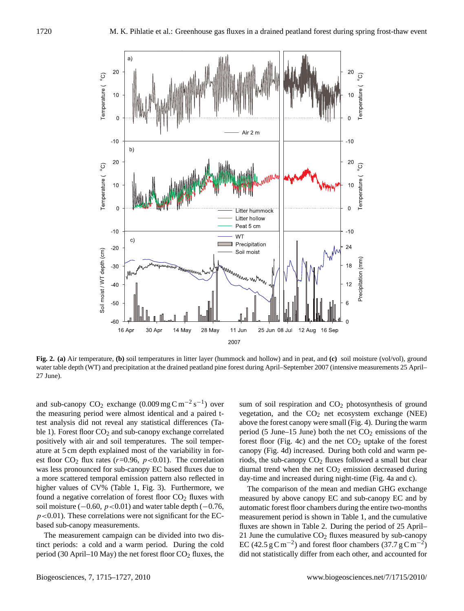

**Fig. 2. (a)** Air temperature, **(b)** soil temperatures in litter layer (hummock and hollow) and in peat, and **(c)** soil moisture (vol/vol), ground water table depth (WT) and precipitation at the drained peatland pine forest during April–September 2007 (intensive measurements 25 April– 27 June).

and sub-canopy  $CO_2$  exchange  $(0.009 \text{ mg C m}^{-2} \text{ s}^{-1})$  over the measuring period were almost identical and a paired ttest analysis did not reveal any statistical differences (Table 1). Forest floor  $CO<sub>2</sub>$  and sub-canopy exchange correlated positively with air and soil temperatures. The soil temperature at 5 cm depth explained most of the variability in forest floor  $CO_2$  flux rates ( $r=0.96$ ,  $p<0.01$ ). The correlation was less pronounced for sub-canopy EC based fluxes due to a more scattered temporal emission pattern also reflected in higher values of CV% (Table 1, Fig. 3). Furthermore, we found a negative correlation of forest floor  $CO<sub>2</sub>$  fluxes with soil moisture ( $-0.60$ ,  $p < 0.01$ ) and water table depth ( $-0.76$ ,  $p<0.01$ ). These correlations were not significant for the ECbased sub-canopy measurements.

The measurement campaign can be divided into two distinct periods: a cold and a warm period. During the cold period (30 April–10 May) the net forest floor  $CO<sub>2</sub>$  fluxes, the sum of soil respiration and CO<sub>2</sub> photosynthesis of ground vegetation, and the  $CO<sub>2</sub>$  net ecosystem exchange (NEE) above the forest canopy were small (Fig. 4). During the warm period (5 June–15 June) both the net  $CO<sub>2</sub>$  emissions of the forest floor (Fig. 4c) and the net  $CO<sub>2</sub>$  uptake of the forest canopy (Fig. 4d) increased. During both cold and warm periods, the sub-canopy  $CO<sub>2</sub>$  fluxes followed a small but clear diurnal trend when the net  $CO<sub>2</sub>$  emission decreased during day-time and increased during night-time (Fig. 4a and c).

The comparison of the mean and median GHG exchange measured by above canopy EC and sub-canopy EC and by automatic forest floor chambers during the entire two-months measurement period is shown in Table 1, and the cumulative fluxes are shown in Table 2. During the period of 25 April– 21 June the cumulative  $CO<sub>2</sub>$  fluxes measured by sub-canopy EC (42.5 g C m<sup>-2</sup>) and forest floor chambers (37.7 g C m<sup>-2</sup>) did not statistically differ from each other, and accounted for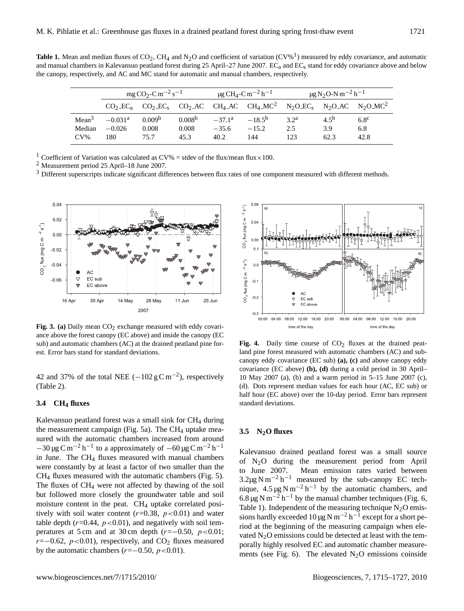**Table 1.** Mean and median fluxes of  $CO_2$ , CH<sub>4</sub> and N<sub>2</sub>O and coefficient of variation (CV%<sup>1</sup>) measured by eddy covariance, and automatic and manual chambers in Kalevansuo peatland forest during 25 April–27 June 2007. EC<sub>a</sub> and EC<sub>s</sub> stand for eddy covariance above and below the canopy, respectively, and AC and MC stand for automatic and manual chambers, respectively.

|                   | $mgCO_2$ -C m <sup>-2</sup> s <sup>-1</sup> |                    |                    | $\mu$ g CH <sub>4</sub> -C m <sup>-2</sup> h <sup>-1</sup> |                                                                                                                                      | $\mu$ g N <sub>2</sub> O-N m <sup>-2</sup> h <sup>-1</sup> |           |                  |
|-------------------|---------------------------------------------|--------------------|--------------------|------------------------------------------------------------|--------------------------------------------------------------------------------------------------------------------------------------|------------------------------------------------------------|-----------|------------------|
|                   |                                             |                    |                    |                                                            | $CO2 \text{E}C3$ $CO2 \text{E}C5$ $CO2 \text{A}C$ $CH4 \text{A}C$ $CH4 \text{M}C2$ $N2O \text{E}C5$ $N2O \text{A}C$ $N2O \text{M}C2$ |                                                            |           |                  |
| Mean <sup>3</sup> | $-0.031$ <sup>a</sup>                       | 0.009 <sup>b</sup> | 0.008 <sup>b</sup> | $-37.1a$                                                   | $-18.5^{b}$                                                                                                                          | $32^a$                                                     | $4.5^{b}$ | $6.8^\mathrm{c}$ |
| Median            | $-0.026$                                    | 0.008              | 0.008              | $-35.6$                                                    | $-15.2$                                                                                                                              | 2.5                                                        | 3.9       | 6.8              |
| $CV\%$            | 180                                         | 75.7               | 45.3               | 40.2                                                       | 144                                                                                                                                  | 123                                                        | 62.3      | 42.8             |

<sup>1</sup> Coefficient of Variation was calculated as CV% = stdev of the flux/mean flux × 100.

<sup>2</sup> Measurement period 25 April–18 June 2007.

<sup>3</sup> Different superscripts indicate significant differences between flux rates of one component measured with different methods.



Fig. 3. (a) Daily mean CO<sub>2</sub> exchange measured with eddy covariance above the forest canopy (EC above) and inside the canopy (EC sub) and automatic chambers (AC) at the drained peatland pine forest. Error bars stand for standard deviations.

42 and 37% of the total NEE  $(-102 \text{ g C m}^{-2})$ , respectively (Table 2).

## **3.4 CH<sup>4</sup> fluxes**

Kalevansuo peatland forest was a small sink for  $CH<sub>4</sub>$  during the measurement campaign (Fig. 5a). The  $CH<sub>4</sub>$  uptake measured with the automatic chambers increased from around  $-30 \,\mu$ g C m<sup>-2</sup> h<sup>-1</sup> to a approximately of  $-60 \,\mu$ g C m<sup>-2</sup> h<sup>-1</sup> in June. The CH<sup>4</sup> fluxes measured with manual chambers were constantly by at least a factor of two smaller than the CH<sup>4</sup> fluxes measured with the automatic chambers (Fig. 5). The fluxes of CH<sup>4</sup> were not affected by thawing of the soil but followed more closely the groundwater table and soil moisture content in the peat. CH<sub>4</sub> uptake correlated positively with soil water content  $(r=0.38, p<0.01)$  and water table depth  $(r=0.44, p<0.01)$ , and negatively with soil temperatures at 5 cm and at 30 cm depth  $(r=-0.50, p<0.01;$  $r=-0.62$ ,  $p<0.01$ ), respectively, and CO<sub>2</sub> fluxes measured by the automatic chambers ( $r=-0.50, p<0.01$ ).



Fig. 4. Daily time course of  $CO<sub>2</sub>$  fluxes at the drained peatland pine forest measured with automatic chambers (AC) and subcanopy eddy covariance (EC sub) **(a), (c)** and above canopy eddy covariance (EC above) **(b), (d)** during a cold period in 30 April– 10 May 2007 (a), (b) and a warm period in 5–15 June 2007 (c), (d). Dots represent median values for each hour (AC, EC sub) or half hour (EC above) over the 10-day period. Error bars represent standard deviations.

## **3.5 N2O fluxes**

Kalevansuo drained peatland forest was a small source of N2O during the measurement period from April to June 2007. Mean emission rates varied between  $3.2\mu$ g N m<sup>-2</sup> h<sup>-1</sup> measured by the sub-canopy EC technique,  $4.5 \mu g \text{ N m}^{-2} \text{ h}^{-1}$  by the automatic chambers, and 6.8 µg N m<sup>-2</sup> h<sup>-1</sup> by the manual chamber techniques (Fig. 6, Table 1). Independent of the measuring technique  $N_2O$  emissions hardly exceeded  $10 \,\mu g$  N m<sup>-2</sup> h<sup>-1</sup> except for a short period at the beginning of the measuring campaign when elevated  $N<sub>2</sub>O$  emissions could be detected at least with the temporally highly resolved EC and automatic chamber measurements (see Fig. 6). The elevated  $N_2O$  emissions coinside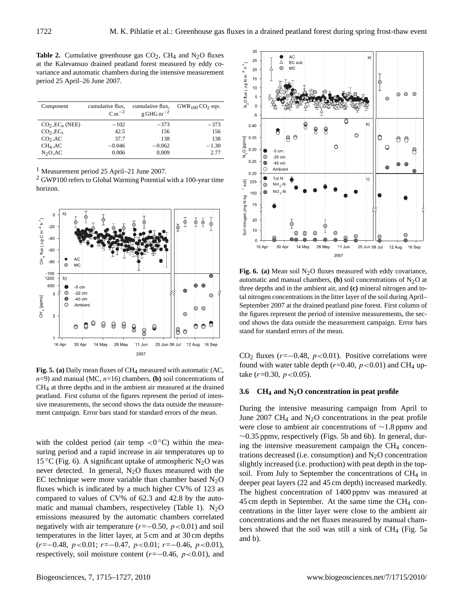**Table 2.** Cumulative greenhouse gas  $CO<sub>2</sub>$ , CH<sub>4</sub> and N<sub>2</sub>O fluxes at the Kalevansuo drained peatland forest measured by eddy covariance and automatic chambers during the intensive measurement period 25 April–26 June 2007.

| Component              | cumulative flux,<br>$Cm^{-2}$ | cumulative flux,<br>$g$ GHG m <sup>-2</sup> | $GWR_{100}CO_2$ eqv. |
|------------------------|-------------------------------|---------------------------------------------|----------------------|
| $CO2$ $ECa$ (NEE)      | $-102$                        | $-373$                                      | $-373$               |
| $CO2$ .EC <sub>s</sub> | 42.5                          | 156                                         | 156                  |
| CO <sub>2</sub> AC     | 37.7                          | 138                                         | 138                  |
| $CH4$ <sub>-AC</sub>   | $-0.046$                      | $-0.062$                                    | $-1.30$              |
| $N2O-AC$               | 0.006                         | 0.009                                       | 2.77                 |

<sup>1</sup> Measurement period 25 April–21 June 2007.

<sup>2</sup> GWP100 refers to Global Warming Potential with a 100-year time horizon.



Fig. 5. (a) Daily mean fluxes of CH<sub>4</sub> measured with automatic (AC,  $n=9$ ) and manual (MC,  $n=16$ ) chambers, **(b)** soil concentrations of CH4 at three depths and in the ambient air measured at the drained peatland. First column of the figures represent the period of intensive measurements, the second shows the data outside the measurement campaign. Error bars stand for standard errors of the mean.

with the coldest period (air temp <0 $\degree$ C) within the measuring period and a rapid increase in air temperatures up to 15 °C (Fig. 6). A significant uptake of atmospheric N<sub>2</sub>O was never detected. In general,  $N_2O$  fluxes measured with the EC technique were more variable than chamber based  $N_2O$ fluxes which is indicated by a much higher CV% of 123 as compared to values of CV% of 62.3 and 42.8 by the automatic and manual chambers, respectiveley (Table 1).  $N_2O$ emissions measured by the automatic chambers correlated negatively with air temperature  $(r=-0.50, p<0.01)$  and soil temperatures in the litter layer, at 5 cm and at 30 cm depths  $(r=-0.48, p<0.01; r=-0.47, p<0.01; r=-0.46, p<0.01)$ , respectively, soil moisture content  $(r=-0.46, p<0.01)$ , and



Fig. 6. (a) Mean soil N<sub>2</sub>O fluxes measured with eddy covariance, automatic and manual chambers,  $(b)$  soil concentrations of  $N<sub>2</sub>O$  at three depths and in the ambient air, and **(c)** mineral nitrogen and total nitrogen concentrations in the litter layer of the soil during April– September 2007 at the drained peatland pine forest. First column of the figures represent the period of intensive measurements, the second shows the data outside the measurement campaign. Error bars stand for standard errors of the mean.

CO<sub>2</sub> fluxes ( $r=-0.48$ ,  $p<0.01$ ). Positive correlations were found with water table depth ( $r=0.40$ ,  $p<0.01$ ) and CH<sub>4</sub> uptake  $(r=0.30, p<0.05)$ .

# **3.6 CH<sup>4</sup> and N2O concentration in peat profile**

During the intensive measuring campaign from April to June 2007 CH<sub>4</sub> and  $N_2O$  concentrations in the peat profile were close to ambient air concentrations of ∼1.8 ppmv and ∼0.35 ppmv, respectively (Figs. 5b and 6b). In general, during the intensive measurement campaign the  $CH<sub>4</sub>$  concentrations decreased (i.e. consumption) and  $N_2O$  concentration slightly increased (i.e. production) with peat depth in the topsoil. From July to September the concentrations of  $CH<sub>4</sub>$  in deeper peat layers (22 and 45 cm depth) increased markedly. The highest concentration of 1400 ppmv was measured at  $45 \text{ cm}$  depth in September. At the same time the CH<sub>4</sub> concentrations in the litter layer were close to the ambient air concentrations and the net fluxes measured by manual chambers showed that the soil was still a sink of  $CH_4$  (Fig. 5a and b).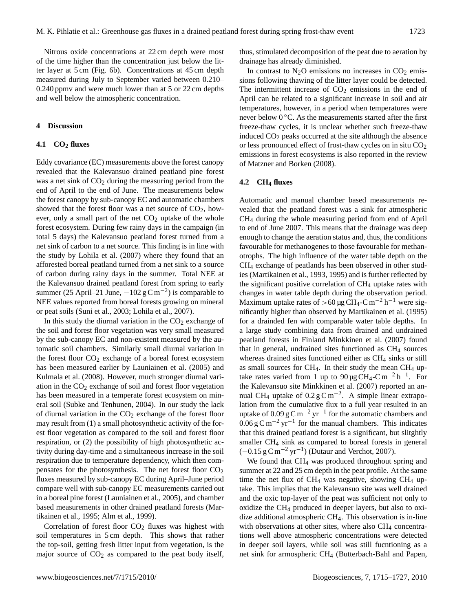Nitrous oxide concentrations at 22 cm depth were most of the time higher than the concentration just below the litter layer at 5 cm (Fig. 6b). Concentrations at 45 cm depth measured during July to September varied between 0.210– 0.240 ppmv and were much lower than at 5 or 22 cm depths and well below the atmospheric concentration.

#### **4 Discussion**

## **4.1 CO<sup>2</sup> fluxes**

Eddy covariance (EC) measurements above the forest canopy revealed that the Kalevansuo drained peatland pine forest was a net sink of  $CO<sub>2</sub>$  during the measuring period from the end of April to the end of June. The measurements below the forest canopy by sub-canopy EC and automatic chambers showed that the forest floor was a net source of  $CO<sub>2</sub>$ , however, only a small part of the net  $CO<sub>2</sub>$  uptake of the whole forest ecosystem. During few rainy days in the campaign (in total 5 days) the Kalevansuo peatland forest turned from a net sink of carbon to a net source. This finding is in line with the study by Lohila et al. (2007) where they found that an afforested boreal peatland turned from a net sink to a source of carbon during rainy days in the summer. Total NEE at the Kalevansuo drained peatland forest from spring to early summer (25 April–21 June,  $-102 \text{ g C m}^{-2}$ ) is comparable to NEE values reported from boreal forests growing on mineral or peat soils (Suni et al., 2003; Lohila et al., 2007).

In this study the diurnal variation in the  $CO<sub>2</sub>$  exchange of the soil and forest floor vegetation was very small measured by the sub-canopy EC and non-existent measured by the automatic soil chambers. Similarly small diurnal variation in the forest floor  $CO<sub>2</sub>$  exchange of a boreal forest ecosystem has been measured earlier by Launiainen et al. (2005) and Kulmala et al. (2008). However, much stronger diurnal variation in the  $CO<sub>2</sub>$  exchange of soil and forest floor vegetation has been measured in a temperate forest ecosystem on mineral soil (Subke and Tenhunen, 2004). In our study the lack of diurnal variation in the  $CO<sub>2</sub>$  exchange of the forest floor may result from (1) a small photosynthetic activity of the forest floor vegetation as compared to the soil and forest floor respiration, or (2) the possibility of high photosynthetic activity during day-time and a simultaneous increase in the soil respiration due to temperature dependency, which then compensates for the photosynthesis. The net forest floor  $CO<sub>2</sub>$ fluxes measured by sub-canopy EC during April–June period compare well with sub-canopy EC measurements carried out in a boreal pine forest (Launiainen et al., 2005), and chamber based measurements in other drained peatland forests (Martikainen et al., 1995; Alm et al., 1999).

Correlation of forest floor  $CO<sub>2</sub>$  fluxes was highest with soil temperatures in 5 cm depth. This shows that rather the top-soil, getting fresh litter input from vegetation, is the major source of  $CO<sub>2</sub>$  as compared to the peat body itself, thus, stimulated decomposition of the peat due to aeration by drainage has already diminished.

In contrast to  $N_2O$  emissions no increases in  $CO_2$  emissions following thawing of the litter layer could be detected. The intermittent increase of  $CO<sub>2</sub>$  emissions in the end of April can be related to a significant increase in soil and air temperatures, however, in a period when temperatures were never below  $0^{\circ}$ C. As the measurements started after the first freeze-thaw cycles, it is unclear whether such freeze-thaw induced  $CO<sub>2</sub>$  peaks occurred at the site although the absence or less pronounced effect of frost-thaw cycles on in situ  $CO<sub>2</sub>$ emissions in forest ecosystems is also reported in the review of Matzner and Borken (2008).

#### **4.2 CH<sup>4</sup> fluxes**

Automatic and manual chamber based measurements revealed that the peatland forest was a sink for atmospheric CH<sup>4</sup> during the whole measuring period from end of April to end of June 2007. This means that the drainage was deep enough to change the aeration status and, thus, the conditions favourable for methanogenes to those favourable for methanotrophs. The high influence of the water table depth on the CH<sup>4</sup> exchange of peatlands has been observed in other studies (Martikainen et al., 1993, 1995) and is further reflected by the significant positive correlation of  $CH<sub>4</sub>$  uptake rates with changes in water table depth during the observation period. Maximum uptake rates of >60 µg CH<sub>4</sub>-C m<sup>-2</sup> h<sup>-1</sup> were significantly higher than observed by Martikainen et al. (1995) for a drainded fen with comparable water table depths. In a large study combining data from drained and undrained peatland forests in Finland Minkkinen et al. (2007) found that in general, undrained sites functioned as  $CH<sub>4</sub>$  sources whereas drained sites functioned either as CH<sub>4</sub> sinks or still as small sources for CH<sub>4</sub>. In their study the mean CH<sub>4</sub> uptake rates varied from 1 up to  $90 \mu g CH_4$ -C m<sup>-2</sup> h<sup>-1</sup>. For the Kalevansuo site Minkkinen et al. (2007) reported an annual CH<sub>4</sub> uptake of  $0.2 g C m^{-2}$ . A simple linear extrapolation from the cumulative flux to a full year resulted in an uptake of 0.09  $\rm g \, C \, m^{-2} \, yr^{-1}$  for the automatic chambers and  $0.06 \text{ g C m}^{-2} \text{ yr}^{-1}$  for the manual chambers. This indicates that this drained peatland forest is a significant, but slitghtly smaller CH<sub>4</sub> sink as compared to boreal forests in general  $(-0.15 \text{ g C m}^{-2} \text{ yr}^{-1})$  (Dutaur and Verchot, 2007).

We found that CH<sub>4</sub> was produced throughout spring and summer at 22 and 25 cm depth in the peat profile. At the same time the net flux of  $CH_4$  was negative, showing  $CH_4$  uptake. This implies that the Kalevansuo site was well drained and the oxic top-layer of the peat was sufficient not only to oxidize the CH<sup>4</sup> produced in deeper layers, but also to oxidize additional atmospheric CH4. This observation is in-line with observations at other sites, where also  $CH<sub>4</sub>$  concentrations well above atmospheric concentrations were detected in deeper soil layers, while soil was still fucntioning as a net sink for armospheric CH<sub>4</sub> (Butterbach-Bahl and Papen,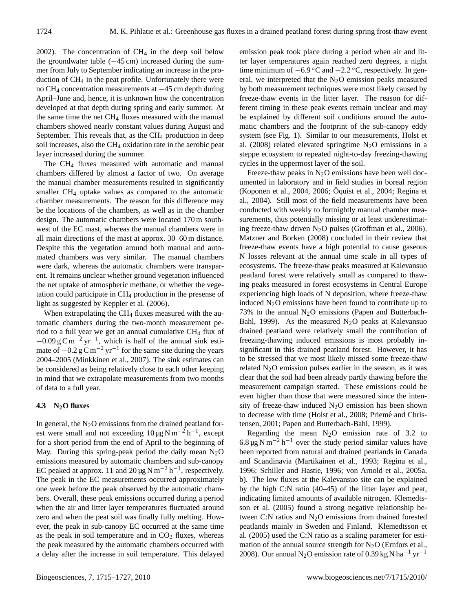2002). The concentration of  $CH<sub>4</sub>$  in the deep soil below the groundwater table  $(-45 \text{ cm})$  increased during the summer from July to September indicating an increase in the production of CH<sup>4</sup> in the peat profile. Unfortunately there were no CH<sup>4</sup> concentration measurements at −45 cm depth during April–June and, hence, it is unknown how the concentration developed at that depth during spring and early summer. At the same time the net  $CH_4$  fluxes measured with the manual chambers showed nearly constant values during August and September. This reveals that, as the  $CH<sub>4</sub>$  production in deep soil increases, also the CH<sup>4</sup> oxidation rate in the aerobic peat layer increased during the summer.

The CH<sup>4</sup> fluxes measured with automatic and manual chambers differed by almost a factor of two. On average the manual chamber measurements resulted in significantly smaller CH<sup>4</sup> uptake values as compared to the automatic chamber measurements. The reason for this difference may be the locations of the chambers, as well as in the chamber design. The automatic chambers were located 170 m southwest of the EC mast, whereas the manual chambers were in all main directions of the mast at approx. 30–60 m distance. Despite this the vegetation around both manual and automated chambers was very similar. The manual chambers were dark, whereas the automatic chambers were transparent. It remains unclear whether ground vegetation influenced the net uptake of atmospheric methane, or whether the vegetation could participate in CH<sup>4</sup> production in the presense of light as suggested by Keppler et al. (2006).

When extrapolating the  $CH<sub>4</sub>$  fluxes measured with the automatic chambers during the two-month measurement period to a full year we get an annual cumulative CH<sup>4</sup> flux of  $-0.09 \text{ g C m}^{-2} \text{ yr}^{-1}$ , which is half of the annual sink estimate of  $-0.2 g C m^{-2} yr^{-1}$  for the same site during the years 2004–2005 (Minkkinen et al., 2007). The sink estimates can be considered as being relatively close to each other keeping in mind that we extrapolate measurements from two months of data to a full year.

# **4.3 N2O fluxes**

In general, the  $N_2O$  emissions from the drained peatland forest were small and not exceeding  $10 \mu g N m^{-2} h^{-1}$ , except for a short period from the end of April to the beginning of May. During this spring-peak period the daily mean  $N_2O$ emissions measured by automatic chambers and sub-canopy EC peaked at approx. 11 and 20 µg N m<sup>-2</sup> h<sup>-1</sup>, respectively. The peak in the EC measurements occurred approximately one week before the peak observed by the automatic chambers. Overall, these peak emissions occurred during a period when the air and litter layer temperatures fluctuated around zero and when the peat soil was finally fully melting. However, the peak in sub-canopy EC occurred at the same time as the peak in soil temperature and in  $CO<sub>2</sub>$  fluxes, whereas the peak measured by the automatic chambers occurred with a delay after the increase in soil temperature. This delayed emission peak took place during a period when air and litter layer temperatures again reached zero degrees, a night time minimum of  $-6.9\,^{\circ}\text{C}$  and  $-2.2\,^{\circ}\text{C}$ , respectively. In general, we interpreted that the  $N<sub>2</sub>O$  emission peaks measured by both measurement techniques were most likely caused by freeze-thaw events in the litter layer. The reason for different timing in these peak events remain unclear and may be explained by different soil conditions around the automatic chambers and the footprint of the sub-canopy eddy system (see Fig. 1). Similar to our measurements, Holst et al. (2008) related elevated springtime  $N_2O$  emissions in a steppe ecosystem to repeated night-to-day freezing-thawing cycles in the uppermost layer of the soil.

Freeze-thaw peaks in  $N<sub>2</sub>O$  emissions have been well documented in laboratory and in field studies in boreal region (Koponen et al., 2004, 2006; Öquist et al., 2004; Regina et al., 2004). Still most of the field measurements have been conducted with weekly to fortnightly manual chamber measurements, thus potentially missing or at least underestimating freeze-thaw driven  $N_2O$  pulses (Groffman et al., 2006). Matzner and Borken (2008) concluded in their review that freeze-thaw events have a high potential to cause gaseous N losses relevant at the annual time scale in all types of ecosystems. The freeze-thaw peaks measured at Kalevansuo peatland forest were relatively small as compared to thawing peaks measured in forest ecosystems in Central Europe experiencing high loads of N deposition, where freeze-thaw induced  $N_2O$  emissions have been found to contribute up to 73% to the annual  $N_2O$  emissions (Papen and Butterbach-Bahl, 1999). As the measured  $N_2O$  peaks at Kalevansuo drained peatland were relatively small the contribution of freezing-thawing induced emissions is most probably insignificant in this drained peatland forest. However, it has to be stressed that we most likely missed some freeze-thaw related  $N<sub>2</sub>O$  emission pulses earlier in the season, as it was clear that the soil had been already partly thawing before the measurement campaign started. These emissions could be even higher than those that were measured since the intensity of freeze-thaw induced  $N_2O$  emission has been shown to decrease with time (Holst et al., 2008; Priemé and Christensen, 2001; Papen and Butterbach-Bahl, 1999).

Regarding the mean  $N_2O$  emission rate of 3.2 to 6.8 µg N m<sup>-2</sup> h<sup>-1</sup> over the study period similar values have been reported from natural and drained peatlands in Canada and Scandinavia (Martikainen et al., 1993; Regina et al., 1996; Schiller and Hastie, 1996; von Arnold et al., 2005a, b). The low fluxes at the Kalevansuo site can be explained by the high C:N ratio (40–45) of the litter layer and peat, indicating limited amounts of available nitrogen. Klemedtsson et al. (2005) found a strong negative relationship between C:N ratios and  $N<sub>2</sub>O$  emissions from drained forested peatlands mainly in Sweden and Finland. Klemedtsson et al. (2005) used the C:N ratio as a scaling parameter for estimation of the annual source strength for  $N_2O$  (Ernfors et al., 2008). Our annual N<sub>2</sub>O emission rate of 0.39 kg N ha<sup>-1</sup> yr<sup>-1</sup>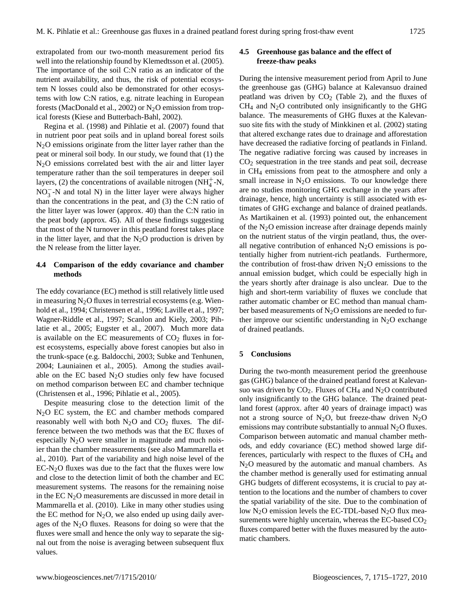extrapolated from our two-month measurement period fits well into the relationship found by Klemedtsson et al. (2005). The importance of the soil C:N ratio as an indicator of the nutrient availability, and thus, the risk of potential ecosystem N losses could also be demonstrated for other ecosystems with low C:N ratios, e.g. nitrate leaching in European forests (MacDonald et al., 2002) or  $N_2O$  emission from tropical forests (Kiese and Butterbach-Bahl, 2002).

Regina et al. (1998) and Pihlatie et al. (2007) found that in nutrient poor peat soils and in upland boreal forest soils  $N<sub>2</sub>O$  emissions originate from the litter layer rather than the peat or mineral soil body. In our study, we found that (1) the N2O emissions correlated best with the air and litter layer temperature rather than the soil temperatures in deeper soil layers, (2) the concentrations of available nitrogen  $(NH_4^+$ -N,  $NO<sub>3</sub><sup>-</sup>$  N and total N) in the litter layer were always higher than the concentrations in the peat, and (3) the C:N ratio of the litter layer was lower (approx. 40) than the C:N ratio in the peat body (approx. 45). All of these findings suggesting that most of the N turnover in this peatland forest takes place in the litter layer, and that the  $N_2O$  production is driven by the N release from the litter layer.

# **4.4 Comparison of the eddy covariance and chamber methods**

The eddy covariance (EC) method is still relatively little used in measuring  $N_2O$  fluxes in terrestrial ecosystems (e.g. Wienhold et al., 1994; Christensen et al., 1996; Laville et al., 1997; Wagner-Riddle et al., 1997; Scanlon and Kiely, 2003; Pihlatie et al., 2005; Eugster et al., 2007). Much more data is available on the EC measurements of  $CO<sub>2</sub>$  fluxes in forest ecosystems, especially above forest canopies but also in the trunk-space (e.g. Baldocchi, 2003; Subke and Tenhunen, 2004; Launiainen et al., 2005). Among the studies available on the EC based  $N_2O$  studies only few have focused on method comparison between EC and chamber technique (Christensen et al., 1996; Pihlatie et al., 2005).

Despite measuring close to the detection limit of the N2O EC system, the EC and chamber methods compared reasonably well with both  $N_2O$  and  $CO_2$  fluxes. The difference between the two methods was that the EC fluxes of especially  $N_2O$  were smaller in magnitude and much noisier than the chamber measurements (see also Mammarella et al., 2010). Part of the variability and high noise level of the  $EC-N<sub>2</sub>O$  fluxes was due to the fact that the fluxes were low and close to the detection limit of both the chamber and EC measurement systems. The reasons for the remaining noise in the EC  $N<sub>2</sub>O$  measurements are discussed in more detail in Mammarella et al. (2010). Like in many other studies using the EC method for  $N_2O$ , we also ended up using daily averages of the  $N<sub>2</sub>O$  fluxes. Reasons for doing so were that the fluxes were small and hence the only way to separate the signal out from the noise is averaging between subsequent flux values.

# **4.5 Greenhouse gas balance and the effect of freeze-thaw peaks**

During the intensive measurement period from April to June the greenhouse gas (GHG) balance at Kalevansuo drained peatland was driven by  $CO<sub>2</sub>$  (Table 2), and the fluxes of  $CH<sub>4</sub>$  and N<sub>2</sub>O contributed only insignificantly to the GHG balance. The measurements of GHG fluxes at the Kalevansuo site fits with the study of Minkkinen et al. (2002) stating that altered exchange rates due to drainage and afforestation have decreased the radiative forcing of peatlands in Finland. The negative radiative forcing was caused by increases in  $CO<sub>2</sub>$  sequestration in the tree stands and peat soil, decrease in CH<sup>4</sup> emissions from peat to the atmosphere and only a small increase in  $N_2O$  emissions. To our knowledge there are no studies monitoring GHG exchange in the years after drainage, hence, high uncertainty is still associated with estimates of GHG exchange and balance of drained peatlands. As Martikainen et al. (1993) pointed out, the enhancement of the  $N_2O$  emission increase after drainage depends mainly on the nutrient status of the virgin peatland, thus, the overall negative contribution of enhanced  $N_2O$  emissions is potentially higher from nutrient-rich peatlands. Furthermore, the contribution of frost-thaw driven  $N<sub>2</sub>O$  emissions to the annual emission budget, which could be especially high in the years shortly after drainage is also unclear. Due to the high and short-term variability of fluxes we conclude that rather automatic chamber or EC method than manual chamber based measurements of  $N_2O$  emissions are needed to further improve our scientific understanding in  $N_2O$  exchange of drained peatlands.

#### **5 Conclusions**

During the two-month measurement period the greenhouse gas (GHG) balance of the drained peatland forest at Kalevansuo was driven by  $CO<sub>2</sub>$ . Fluxes of CH<sub>4</sub> and N<sub>2</sub>O contributed only insignificantly to the GHG balance. The drained peatland forest (approx. after 40 years of drainage impact) was not a strong source of  $N_2O$ , but freeze-thaw driven  $N_2O$ emissions may contribute substantially to annual  $N_2O$  fluxes. Comparison between automatic and manual chamber methods, and eddy covariance (EC) method showed large differences, particularly with respect to the fluxes of CH<sub>4</sub> and  $N<sub>2</sub>O$  measured by the automatic and manual chambers. As the chamber method is generally used for estimating annual GHG budgets of different ecosystems, it is crucial to pay attention to the locations and the number of chambers to cover the spatial variability of the site. Due to the combination of low  $N_2O$  emission levels the EC-TDL-based  $N_2O$  flux measurements were highly uncertain, whereas the EC-based  $CO<sub>2</sub>$ fluxes compared better with the fluxes measured by the automatic chambers.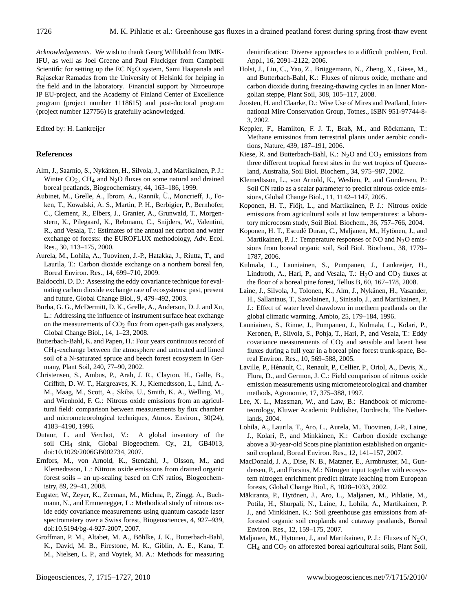*Acknowledgements.* We wish to thank Georg Willibald from IMK-IFU, as well as Joel Greene and Paul Fluckiger from Campbell Scientific for setting up the EC  $N<sub>2</sub>O$  system, Sami Haapanala and Rajasekar Ramadas from the University of Helsinki for helping in the field and in the laboratory. Financial support by Nitroeurope IP EU-project, and the Academy of Finland Center of Excellence program (project number 1118615) and post-doctoral program (project number 127756) is gratefully acknowledged.

#### Edited by: H. Lankreijer

#### **References**

- Alm, J., Saarnio, S., Nykanen, H., Silvola, J., and Martikainen, P. J.: ¨ Winter  $CO_2$ , CH<sub>4</sub> and N<sub>2</sub>O fluxes on some natural and drained boreal peatlands, Biogeochemistry, 44, 163–186, 1999.
- Aubinet, M., Grelle, A., Ibrom, A., Rannik, Ü., Moncrieff, J., Foken, T., Kowalski, A. S., Martin, P. H., Berbigier, P., Bernhofer, C., Clement, R., Elbers, J., Granier, A., Grunwald, T., Morgenstern, K., Pilegaard, K., Rebmann, C., Snijders, W., Valentini, R., and Vesala, T.: Estimates of the annual net carbon and water exchange of forests: the EUROFLUX methodology, Adv. Ecol. Res., 30, 113–175, 2000.
- Aurela, M., Lohila, A., Tuovinen, J.-P., Hatakka, J., Riutta, T., and Laurila, T.: Carbon dioxide exchange on a northern boreal fen, Boreal Environ. Res., 14, 699–710, 2009.
- Baldocchi, D. D.: Assessing the eddy covariance technique for evaluating carbon dioxide exchange rate of ecosystems: past, present and future, Global Change Biol., 9, 479–492, 2003.
- Burba, G. G., McDermitt, D. K., Grelle, A., Anderson, D. J. and Xu, L.: Addressing the influence of instrument surface heat exchange on the measurements of  $CO<sub>2</sub>$  flux from open-path gas analyzers, Global Change Biol., 14, 1–23, 2008.
- Butterbach-Bahl, K. and Papen, H.: Four years continuous record of CH4-exchange between the atmosphere and untreated and limed soil of a N-saturated spruce and beech forest ecosystem in Germany, Plant Soil, 240, 77–90, 2002.
- Christensen, S., Ambus, P., Arah, J. R., Clayton, H., Galle, B., Griffith, D. W. T., Hargreaves, K. J., Klemedtsson, L., Lind, A.- M., Maag, M., Scott, A., Skiba, U., Smith, K. A., Welling, M., and Wienhold, F. G.: Nitrous oxide emissions from an agricultural field: comparison between measurements by flux chamber and micrometeorological techniques, Atmos. Environ., 30(24), 4183–4190, 1996.
- Dutaur, L. and Verchot, V.: A global inventory of the soil CH4 sink, Global Biogeochem. Cy., 21, GB4013, doi:10.1029/2006GB002734, 2007.
- Ernfors, M., von Arnold, K., Stendahl, J., Olsson, M., and Klemedtsson, L.: Nitrous oxide emissions from drained organic forest soils – an up-scaling based on C:N ratios, Biogeochemistry, 89, 29–41, 2008.
- Eugster, W., Zeyer, K., Zeeman, M., Michna, P., Zingg, A., Buchmann, N., and Emmenegger, L.: Methodical study of nitrous oxide eddy covariance measurements using quantum cascade laser spectrometery over a Swiss forest, Biogeosciences, 4, 927–939, doi:10.5194/bg-4-927-2007, 2007.
- Groffman, P. M., Altabet, M. A., Bohlke, J. K., Butterbach-Bahl, ¨ K., David, M. B., Firestone, M. K., Giblin, A. E., Kana, T. M., Nielsen, L. P., and Voytek, M. A.: Methods for measuring

denitrification: Diverse approaches to a difficult problem, Ecol. Appl., 16, 2091–2122, 2006.

- Holst, J., Liu, C., Yao, Z., Brüggemann, N., Zheng, X., Giese, M., and Butterbach-Bahl, K.: Fluxes of nitrous oxide, methane and carbon dioxide during freezing-thawing cycles in an Inner Mongolian steppe, Plant Soil, 308, 105–117, 2008.
- Joosten, H. and Claarke, D.: Wise Use of Mires and Peatland, International Mire Conservation Group, Totnes., ISBN 951-97744-8- 3, 2002.
- Keppler, F., Hamilton, F. J. T., Braß, M., and Röckmann, T.: Methane emissinos from terrestrial plants under aerobic conditions, Nature, 439, 187–191, 2006.
- Kiese, R. and Butterbach-Bahl, K.:  $N_2O$  and  $CO_2$  emissions from three different tropical forest sites in the wet tropics of Queensland, Australia, Soil Biol. Biochem., 34, 975–987, 2002.
- Klemedtsson, L., von Arnold, K., Weslien, P., and Gundersen, P.: Soil CN ratio as a scalar parameter to predict nitrous oxide emissions, Global Change Biol., 11, 1142–1147, 2005.
- Koponen, H. T., Flöjt, L., and Martikainen, P. J.: Nitrous oxide emissions from agricultural soils at low temperatures: a laboratory microcosm study, Soil Biol. Biochem., 36, 757–766, 2004.
- Koponen, H. T., Escudé Duran, C., Maljanen, M., Hytönen, J., and Martikainen, P. J.: Temperature responses of NO and  $N_2O$  emissions from boreal organic soil, Soil Biol. Biochem., 38, 1779– 1787, 2006.
- Kulmala, L., Launiainen, S., Pumpanen, J., Lankreijer, H., Lindtroth, A., Hari, P., and Vesala, T.:  $H<sub>2</sub>O$  and  $CO<sub>2</sub>$  fluxes at the floor of a boreal pine forest, Tellus B, 60, 167–178, 2008.
- Laine, J., Silvola, J., Tolonen, K., Alm, J., Nykänen, H., Vasander, H., Sallantaus, T., Savolainen, I., Sinisalo, J., and Martikainen, P. J.: Effect of water level drawdown in northern peatlands on the global climatic warming, Ambio, 25, 179–184, 1996.
- Launiainen, S., Rinne, J., Pumpanen, J., Kulmala, L., Kolari, P., Keronen, P., Siivola, S., Pohja, T., Hari, P., and Vesala, T.: Eddy covariance measurements of  $CO<sub>2</sub>$  and sensible and latent heat fluxes during a full year in a boreal pine forest trunk-space, Boreal Environ. Res., 10, 569–588, 2005.
- Laville, P., Henault, C., Renault, P., Cellier, P., Oriol, A., Devis, X., ´ Flura, D., and Germon, J. C.: Field comparison of nitrous oxide emission measurements using micrometeorological and chamber methods, Agronomie, 17, 375–388, 1997.
- Lee, X. L., Massman, W., and Law, B.: Handbook of micrometeorology, Kluwer Academic Publisher, Dordrecht, The Netherlands, 2004.
- Lohila, A., Laurila, T., Aro, L., Aurela, M., Tuovinen, J.-P., Laine, J., Kolari, P., and Minkkinen, K.: Carbon dioxide exchange above a 30-year-old Scots pine plantation established on organicsoil cropland, Boreal Environ. Res., 12, 141–157, 2007.
- MacDonald, J. A., Dise, N. B., Matzner, E., Armbruster, M., Gundersen, P., and Forsius, M.: Nitrogen input together with ecosystem nitrogen enrichment predict nitrate leaching from European forests, Global Change Biol., 8, 1028–1033, 2002.
- Mäkiranta, P., Hytönen, J., Aro, L., Maljanen, M., Pihlatie, M., Potila, H., Shurpali, N., Laine, J., Lohila, A., Martikainen, P. J., and Minkkinen, K.: Soil greenhouse gas emissions from afforested organic soil croplands and cutaway peatlands, Boreal Environ. Res., 12, 159–175, 2007.
- Maljanen, M., Hytönen, J., and Martikainen, P. J.: Fluxes of  $N_2O$ ,  $CH<sub>4</sub>$  and  $CO<sub>2</sub>$  on afforested boreal agricultural soils, Plant Soil,